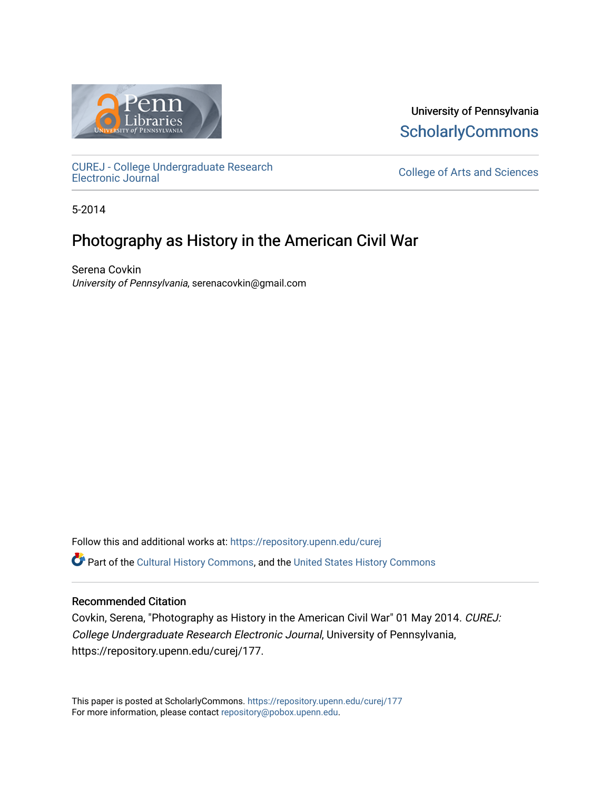

University of Pennsylvania **ScholarlyCommons** 

[CUREJ - College Undergraduate Research](https://repository.upenn.edu/curej) 

College of Arts and Sciences

5-2014

# Photography as History in the American Civil War

Serena Covkin University of Pennsylvania, serenacovkin@gmail.com

Follow this and additional works at: [https://repository.upenn.edu/curej](https://repository.upenn.edu/curej?utm_source=repository.upenn.edu%2Fcurej%2F177&utm_medium=PDF&utm_campaign=PDFCoverPages)

Part of the [Cultural History Commons](http://network.bepress.com/hgg/discipline/496?utm_source=repository.upenn.edu%2Fcurej%2F177&utm_medium=PDF&utm_campaign=PDFCoverPages), and the [United States History Commons](http://network.bepress.com/hgg/discipline/495?utm_source=repository.upenn.edu%2Fcurej%2F177&utm_medium=PDF&utm_campaign=PDFCoverPages) 

#### Recommended Citation

Covkin, Serena, "Photography as History in the American Civil War" 01 May 2014. CUREJ: College Undergraduate Research Electronic Journal, University of Pennsylvania, https://repository.upenn.edu/curej/177.

This paper is posted at ScholarlyCommons.<https://repository.upenn.edu/curej/177> For more information, please contact [repository@pobox.upenn.edu.](mailto:repository@pobox.upenn.edu)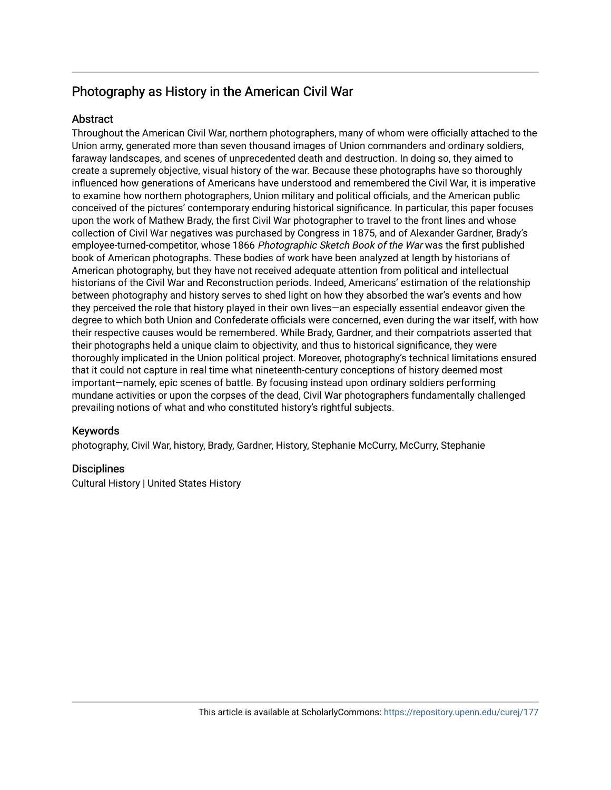## Photography as History in the American Civil War

#### **Abstract**

Throughout the American Civil War, northern photographers, many of whom were officially attached to the Union army, generated more than seven thousand images of Union commanders and ordinary soldiers, faraway landscapes, and scenes of unprecedented death and destruction. In doing so, they aimed to create a supremely objective, visual history of the war. Because these photographs have so thoroughly influenced how generations of Americans have understood and remembered the Civil War, it is imperative to examine how northern photographers, Union military and political officials, and the American public conceived of the pictures' contemporary enduring historical significance. In particular, this paper focuses upon the work of Mathew Brady, the first Civil War photographer to travel to the front lines and whose collection of Civil War negatives was purchased by Congress in 1875, and of Alexander Gardner, Brady's employee-turned-competitor, whose 1866 Photographic Sketch Book of the War was the first published book of American photographs. These bodies of work have been analyzed at length by historians of American photography, but they have not received adequate attention from political and intellectual historians of the Civil War and Reconstruction periods. Indeed, Americans' estimation of the relationship between photography and history serves to shed light on how they absorbed the war's events and how they perceived the role that history played in their own lives—an especially essential endeavor given the degree to which both Union and Confederate officials were concerned, even during the war itself, with how their respective causes would be remembered. While Brady, Gardner, and their compatriots asserted that their photographs held a unique claim to objectivity, and thus to historical significance, they were thoroughly implicated in the Union political project. Moreover, photography's technical limitations ensured that it could not capture in real time what nineteenth-century conceptions of history deemed most important—namely, epic scenes of battle. By focusing instead upon ordinary soldiers performing mundane activities or upon the corpses of the dead, Civil War photographers fundamentally challenged prevailing notions of what and who constituted history's rightful subjects.

#### Keywords

photography, Civil War, history, Brady, Gardner, History, Stephanie McCurry, McCurry, Stephanie

#### **Disciplines**

Cultural History | United States History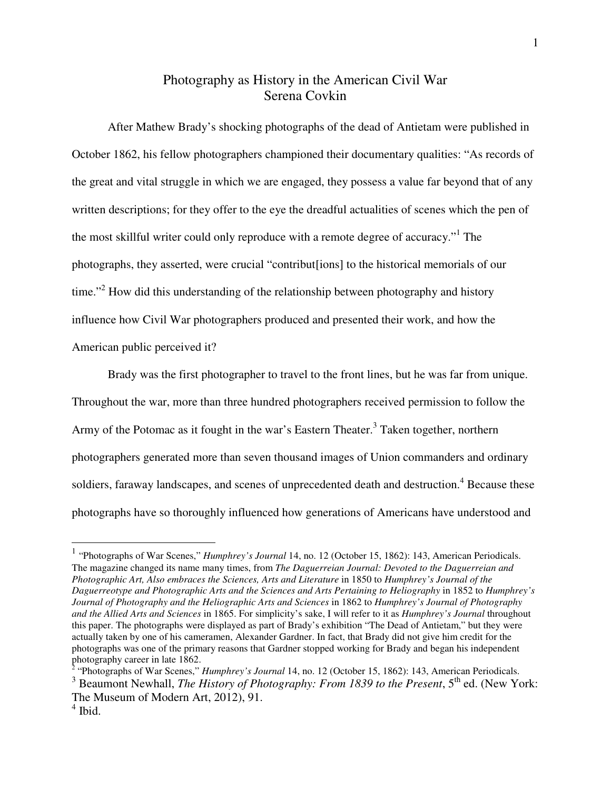### Photography as History in the American Civil War Serena Covkin

After Mathew Brady's shocking photographs of the dead of Antietam were published in October 1862, his fellow photographers championed their documentary qualities: "As records of the great and vital struggle in which we are engaged, they possess a value far beyond that of any written descriptions; for they offer to the eye the dreadful actualities of scenes which the pen of the most skillful writer could only reproduce with a remote degree of accuracy."<sup>1</sup> The photographs, they asserted, were crucial "contribut[ions] to the historical memorials of our time."<sup>2</sup> How did this understanding of the relationship between photography and history influence how Civil War photographers produced and presented their work, and how the American public perceived it?

Brady was the first photographer to travel to the front lines, but he was far from unique. Throughout the war, more than three hundred photographers received permission to follow the Army of the Potomac as it fought in the war's Eastern Theater.<sup>3</sup> Taken together, northern photographers generated more than seven thousand images of Union commanders and ordinary soldiers, faraway landscapes, and scenes of unprecedented death and destruction.<sup>4</sup> Because these photographs have so thoroughly influenced how generations of Americans have understood and

 1 "Photographs of War Scenes," *Humphrey's Journal* 14, no. 12 (October 15, 1862): 143, American Periodicals. The magazine changed its name many times, from *The Daguerreian Journal: Devoted to the Daguerreian and Photographic Art, Also embraces the Sciences, Arts and Literature* in 1850 to *Humphrey's Journal of the Daguerreotype and Photographic Arts and the Sciences and Arts Pertaining to Heliography* in 1852 to *Humphrey's Journal of Photography and the Heliographic Arts and Sciences* in 1862 to *Humphrey's Journal of Photography and the Allied Arts and Sciences* in 1865. For simplicity's sake, I will refer to it as *Humphrey's Journal* throughout this paper. The photographs were displayed as part of Brady's exhibition "The Dead of Antietam," but they were actually taken by one of his cameramen, Alexander Gardner. In fact, that Brady did not give him credit for the photographs was one of the primary reasons that Gardner stopped working for Brady and began his independent photography career in late 1862.<br><sup>2</sup> "Photographs of War Scenes," *Humphrey's Journal* 14, no. 12 (October 15, 1862): 143, American Periodicals.

<sup>&</sup>lt;sup>3</sup> Beaumont Newhall, *The History of Photography: From 1839 to the Present*, 5<sup>th</sup> ed. (New York: The Museum of Modern Art, 2012), 91.

<sup>4</sup> Ibid.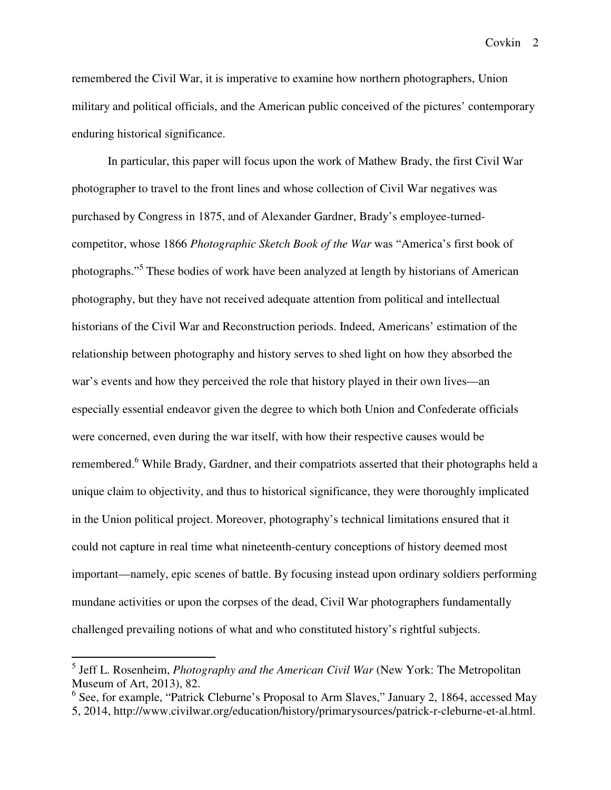remembered the Civil War, it is imperative to examine how northern photographers, Union military and political officials, and the American public conceived of the pictures' contemporary enduring historical significance.

In particular, this paper will focus upon the work of Mathew Brady, the first Civil War photographer to travel to the front lines and whose collection of Civil War negatives was purchased by Congress in 1875, and of Alexander Gardner, Brady's employee-turnedcompetitor, whose 1866 *Photographic Sketch Book of the War* was "America's first book of photographs."<sup>5</sup> These bodies of work have been analyzed at length by historians of American photography, but they have not received adequate attention from political and intellectual historians of the Civil War and Reconstruction periods. Indeed, Americans' estimation of the relationship between photography and history serves to shed light on how they absorbed the war's events and how they perceived the role that history played in their own lives—an especially essential endeavor given the degree to which both Union and Confederate officials were concerned, even during the war itself, with how their respective causes would be remembered.<sup>6</sup> While Brady, Gardner, and their compatriots asserted that their photographs held a unique claim to objectivity, and thus to historical significance, they were thoroughly implicated in the Union political project. Moreover, photography's technical limitations ensured that it could not capture in real time what nineteenth-century conceptions of history deemed most important—namely, epic scenes of battle. By focusing instead upon ordinary soldiers performing mundane activities or upon the corpses of the dead, Civil War photographers fundamentally challenged prevailing notions of what and who constituted history's rightful subjects.

 5 Jeff L. Rosenheim, *Photography and the American Civil War* (New York: The Metropolitan Museum of Art, 2013), 82.

<sup>&</sup>lt;sup>6</sup> See, for example, "Patrick Cleburne's Proposal to Arm Slaves," January 2, 1864, accessed May 5, 2014, http://www.civilwar.org/education/history/primarysources/patrick-r-cleburne-et-al.html.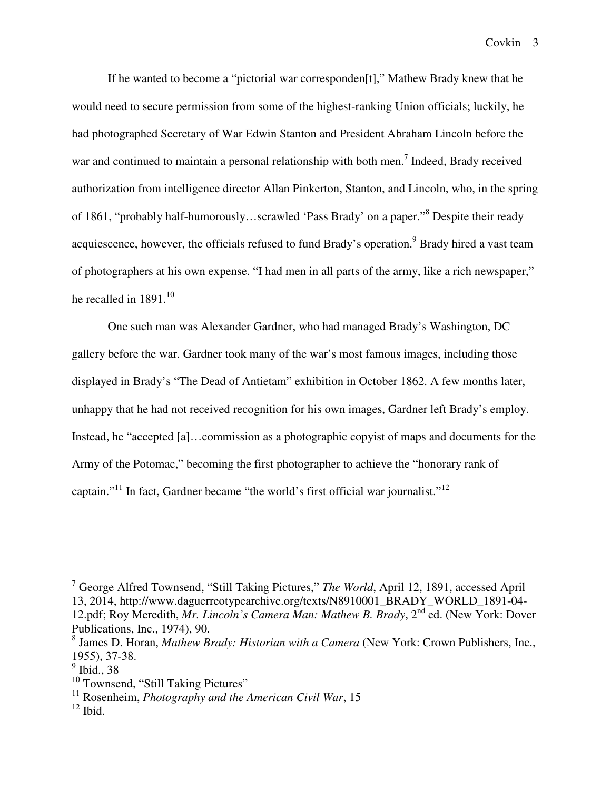If he wanted to become a "pictorial war corresponden[t]," Mathew Brady knew that he would need to secure permission from some of the highest-ranking Union officials; luckily, he had photographed Secretary of War Edwin Stanton and President Abraham Lincoln before the war and continued to maintain a personal relationship with both men.<sup>7</sup> Indeed, Brady received authorization from intelligence director Allan Pinkerton, Stanton, and Lincoln, who, in the spring of 1861, "probably half-humorously...scrawled 'Pass Brady' on a paper."<sup>8</sup> Despite their ready acquiescence, however, the officials refused to fund Brady's operation.<sup>9</sup> Brady hired a vast team of photographers at his own expense. "I had men in all parts of the army, like a rich newspaper," he recalled in 1891. $^{10}$ 

One such man was Alexander Gardner, who had managed Brady's Washington, DC gallery before the war. Gardner took many of the war's most famous images, including those displayed in Brady's "The Dead of Antietam" exhibition in October 1862. A few months later, unhappy that he had not received recognition for his own images, Gardner left Brady's employ. Instead, he "accepted [a]...commission as a photographic copyist of maps and documents for the Army of the Potomac," becoming the first photographer to achieve the "honorary rank of captain."<sup>11</sup> In fact, Gardner became "the world's first official war journalist."<sup>12</sup>

 7 George Alfred Townsend, "Still Taking Pictures," *The World*, April 12, 1891, accessed April 13, 2014, http://www.daguerreotypearchive.org/texts/N8910001\_BRADY\_WORLD\_1891-04- 12.pdf; Roy Meredith, *Mr. Lincoln's Camera Man: Mathew B. Brady*, 2nd ed. (New York: Dover Publications, Inc., 1974), 90.

<sup>8</sup> James D. Horan, *Mathew Brady: Historian with a Camera* (New York: Crown Publishers, Inc., 1955), 37-38.

<sup>&</sup>lt;sup>9</sup> Ibid., 38

<sup>&</sup>lt;sup>10</sup> Townsend, "Still Taking Pictures"

<sup>&</sup>lt;sup>11</sup> Rosenheim, *Photography and the American Civil War*, 15

 $12$  Ibid.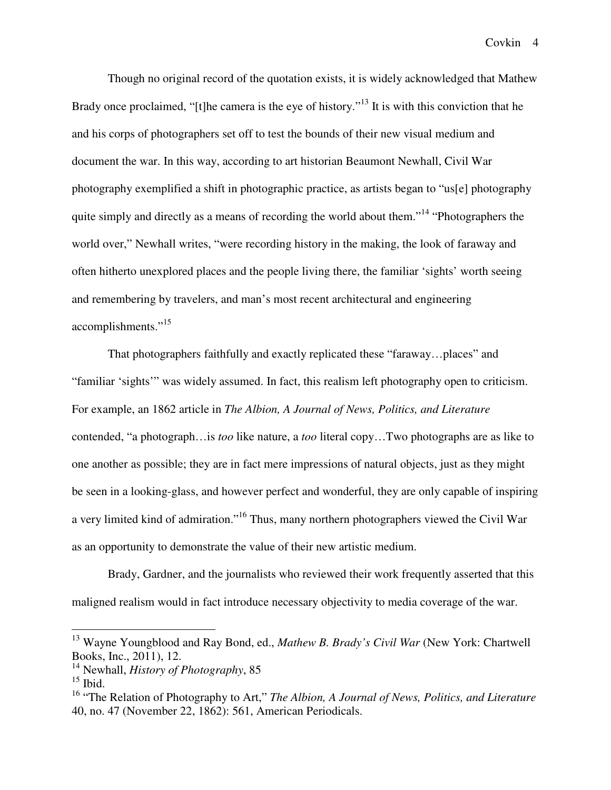Though no original record of the quotation exists, it is widely acknowledged that Mathew Brady once proclaimed, "[t]he camera is the eye of history."<sup>13</sup> It is with this conviction that he and his corps of photographers set off to test the bounds of their new visual medium and document the war. In this way, according to art historian Beaumont Newhall, Civil War photography exemplified a shift in photographic practice, as artists began to "us[e] photography quite simply and directly as a means of recording the world about them."<sup>14</sup> "Photographers the world over," Newhall writes, "were recording history in the making, the look of faraway and often hitherto unexplored places and the people living there, the familiar 'sights' worth seeing and remembering by travelers, and man's most recent architectural and engineering accomplishments."<sup>15</sup>

That photographers faithfully and exactly replicated these "faraway…places" and "familiar 'sights'" was widely assumed. In fact, this realism left photography open to criticism. For example, an 1862 article in *The Albion, A Journal of News, Politics, and Literature* contended, "a photograph…is *too* like nature, a *too* literal copy…Two photographs are as like to one another as possible; they are in fact mere impressions of natural objects, just as they might be seen in a looking-glass, and however perfect and wonderful, they are only capable of inspiring a very limited kind of admiration."<sup>16</sup> Thus, many northern photographers viewed the Civil War as an opportunity to demonstrate the value of their new artistic medium.

Brady, Gardner, and the journalists who reviewed their work frequently asserted that this maligned realism would in fact introduce necessary objectivity to media coverage of the war.

<sup>13</sup> Wayne Youngblood and Ray Bond, ed., *Mathew B. Brady's Civil War* (New York: Chartwell Books, Inc., 2011), 12.

<sup>14</sup> Newhall, *History of Photography*, 85

 $15$  Ibid.

<sup>&</sup>lt;sup>16</sup> "The Relation of Photography to Art," *The Albion, A Journal of News, Politics, and Literature* 40, no. 47 (November 22, 1862): 561, American Periodicals.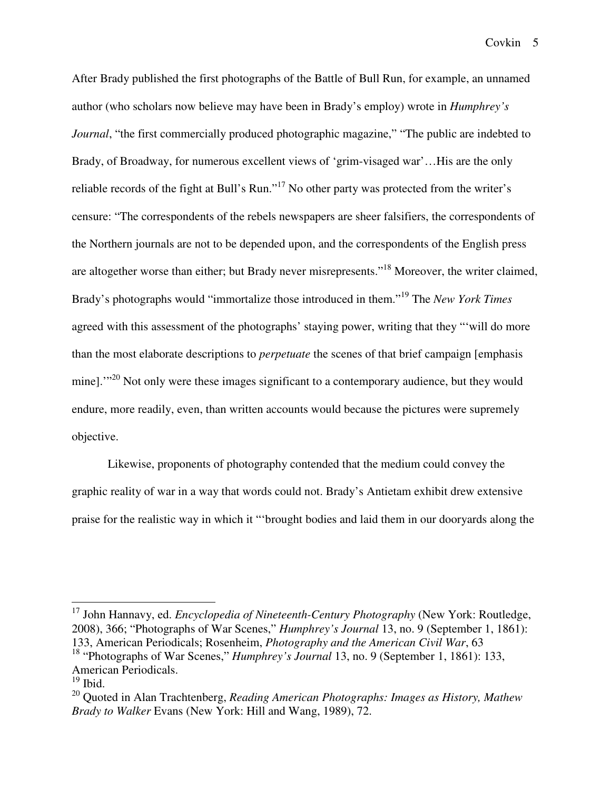After Brady published the first photographs of the Battle of Bull Run, for example, an unnamed author (who scholars now believe may have been in Brady's employ) wrote in *Humphrey's Journal*, "the first commercially produced photographic magazine," "The public are indebted to Brady, of Broadway, for numerous excellent views of 'grim-visaged war'…His are the only reliable records of the fight at Bull's Run."<sup>17</sup> No other party was protected from the writer's censure: "The correspondents of the rebels newspapers are sheer falsifiers, the correspondents of the Northern journals are not to be depended upon, and the correspondents of the English press are altogether worse than either; but Brady never misrepresents."<sup>18</sup> Moreover, the writer claimed, Brady's photographs would "immortalize those introduced in them."<sup>19</sup> The *New York Times* agreed with this assessment of the photographs' staying power, writing that they "'will do more than the most elaborate descriptions to *perpetuate* the scenes of that brief campaign [emphasis mine].'"<sup>20</sup> Not only were these images significant to a contemporary audience, but they would endure, more readily, even, than written accounts would because the pictures were supremely objective.

Likewise, proponents of photography contended that the medium could convey the graphic reality of war in a way that words could not. Brady's Antietam exhibit drew extensive praise for the realistic way in which it "'brought bodies and laid them in our dooryards along the

<sup>17</sup> John Hannavy, ed. *Encyclopedia of Nineteenth-Century Photography* (New York: Routledge, 2008), 366; "Photographs of War Scenes," *Humphrey's Journal* 13, no. 9 (September 1, 1861): 133, American Periodicals; Rosenheim, *Photography and the American Civil War*, 63 <sup>18</sup> "Photographs of War Scenes," *Humphrey's Journal* 13, no. 9 (September 1, 1861): 133, American Periodicals.

 $19$  Ibid.

<sup>20</sup> Quoted in Alan Trachtenberg, *Reading American Photographs: Images as History, Mathew Brady to Walker* Evans (New York: Hill and Wang, 1989), 72.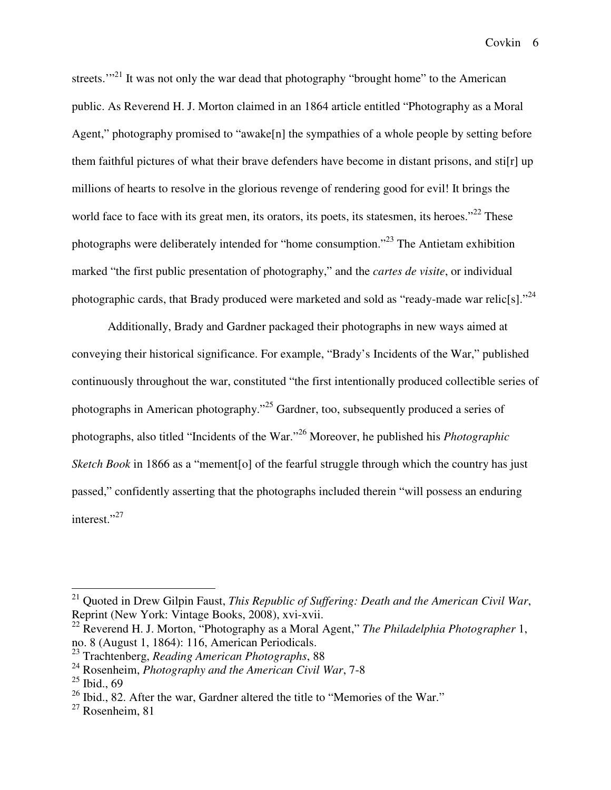streets. $\cdot$ <sup>21</sup> It was not only the war dead that photography "brought home" to the American public. As Reverend H. J. Morton claimed in an 1864 article entitled "Photography as a Moral Agent," photography promised to "awake<sup>[n]</sup> the sympathies of a whole people by setting before them faithful pictures of what their brave defenders have become in distant prisons, and sti[r] up millions of hearts to resolve in the glorious revenge of rendering good for evil! It brings the world face to face with its great men, its orators, its poets, its statesmen, its heroes."<sup>22</sup> These photographs were deliberately intended for "home consumption."<sup>23</sup> The Antietam exhibition marked "the first public presentation of photography," and the *cartes de visite*, or individual photographic cards, that Brady produced were marketed and sold as "ready-made war relic[s]."<sup>24</sup>

Additionally, Brady and Gardner packaged their photographs in new ways aimed at conveying their historical significance. For example, "Brady's Incidents of the War," published continuously throughout the war, constituted "the first intentionally produced collectible series of photographs in American photography."<sup>25</sup> Gardner, too, subsequently produced a series of photographs, also titled "Incidents of the War."<sup>26</sup> Moreover, he published his *Photographic Sketch Book* in 1866 as a "mement[o] of the fearful struggle through which the country has just passed," confidently asserting that the photographs included therein "will possess an enduring interest."<sup>27</sup>

-

<sup>21</sup> Quoted in Drew Gilpin Faust, *This Republic of Suffering: Death and the American Civil War*, Reprint (New York: Vintage Books, 2008), xvi-xvii.

<sup>22</sup> Reverend H. J. Morton, "Photography as a Moral Agent," *The Philadelphia Photographer* 1, no. 8 (August 1, 1864): 116, American Periodicals.

<sup>23</sup> Trachtenberg, *Reading American Photographs*, 88

<sup>24</sup> Rosenheim, *Photography and the American Civil War*, 7-8

 $25$  Ibid., 69

 $26$  Ibid., 82. After the war, Gardner altered the title to "Memories of the War."

 $27$  Rosenheim, 81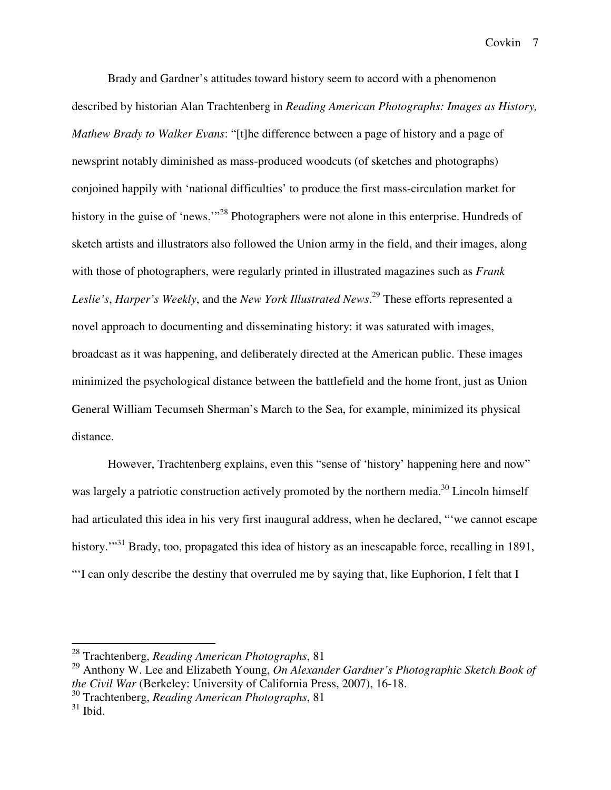Brady and Gardner's attitudes toward history seem to accord with a phenomenon described by historian Alan Trachtenberg in *Reading American Photographs: Images as History, Mathew Brady to Walker Evans*: "[t]he difference between a page of history and a page of newsprint notably diminished as mass-produced woodcuts (of sketches and photographs) conjoined happily with 'national difficulties' to produce the first mass-circulation market for history in the guise of 'news.'"<sup>28</sup> Photographers were not alone in this enterprise. Hundreds of sketch artists and illustrators also followed the Union army in the field, and their images, along with those of photographers, were regularly printed in illustrated magazines such as *Frank Leslie's*, *Harper's Weekly*, and the *New York Illustrated News*. <sup>29</sup> These efforts represented a novel approach to documenting and disseminating history: it was saturated with images, broadcast as it was happening, and deliberately directed at the American public. These images minimized the psychological distance between the battlefield and the home front, just as Union General William Tecumseh Sherman's March to the Sea, for example, minimized its physical distance.

However, Trachtenberg explains, even this "sense of 'history' happening here and now" was largely a patriotic construction actively promoted by the northern media.<sup>30</sup> Lincoln himself had articulated this idea in his very first inaugural address, when he declared, "'we cannot escape history.<sup>"31</sup> Brady, too, propagated this idea of history as an inescapable force, recalling in 1891, "'I can only describe the destiny that overruled me by saying that, like Euphorion, I felt that I

<sup>28</sup> Trachtenberg, *Reading American Photographs*, 81

<sup>29</sup> Anthony W. Lee and Elizabeth Young, *On Alexander Gardner's Photographic Sketch Book of the Civil War* (Berkeley: University of California Press, 2007), 16-18.

<sup>30</sup> Trachtenberg, *Reading American Photographs*, 81

 $31$  Ibid.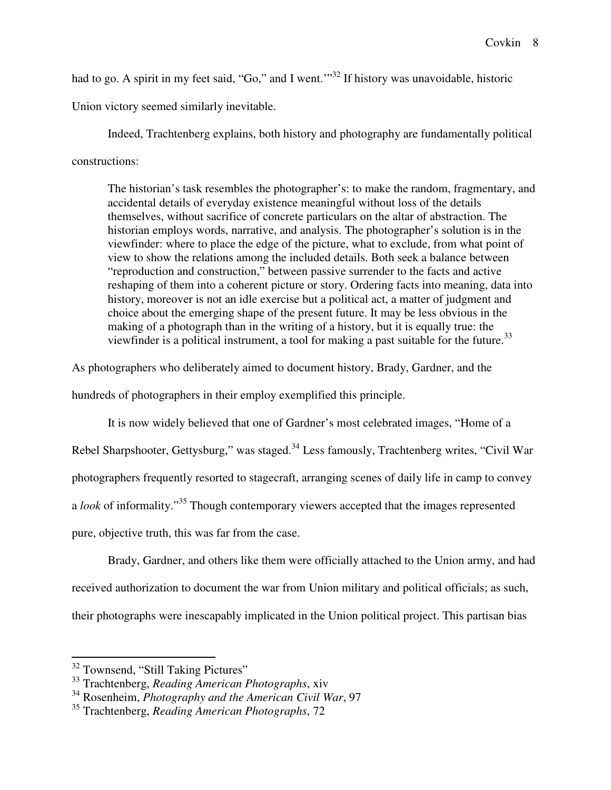had to go. A spirit in my feet said, "Go," and I went."<sup>32</sup> If history was unavoidable, historic

Union victory seemed similarly inevitable.

Indeed, Trachtenberg explains, both history and photography are fundamentally political constructions:

The historian's task resembles the photographer's: to make the random, fragmentary, and accidental details of everyday existence meaningful without loss of the details themselves, without sacrifice of concrete particulars on the altar of abstraction. The historian employs words, narrative, and analysis. The photographer's solution is in the viewfinder: where to place the edge of the picture, what to exclude, from what point of view to show the relations among the included details. Both seek a balance between "reproduction and construction," between passive surrender to the facts and active reshaping of them into a coherent picture or story. Ordering facts into meaning, data into history, moreover is not an idle exercise but a political act, a matter of judgment and choice about the emerging shape of the present future. It may be less obvious in the making of a photograph than in the writing of a history, but it is equally true: the viewfinder is a political instrument, a tool for making a past suitable for the future.<sup>33</sup>

As photographers who deliberately aimed to document history, Brady, Gardner, and the hundreds of photographers in their employ exemplified this principle.

 It is now widely believed that one of Gardner's most celebrated images, "Home of a Rebel Sharpshooter, Gettysburg," was staged.<sup>34</sup> Less famously, Trachtenberg writes, "Civil War photographers frequently resorted to stagecraft, arranging scenes of daily life in camp to convey a *look* of informality."<sup>35</sup> Though contemporary viewers accepted that the images represented pure, objective truth, this was far from the case.

Brady, Gardner, and others like them were officially attached to the Union army, and had received authorization to document the war from Union military and political officials; as such, their photographs were inescapably implicated in the Union political project. This partisan bias

<sup>&</sup>lt;sup>32</sup> Townsend, "Still Taking Pictures"

<sup>33</sup> Trachtenberg, *Reading American Photographs*, xiv

<sup>34</sup> Rosenheim, *Photography and the American Civil War*, 97

<sup>35</sup> Trachtenberg, *Reading American Photographs*, 72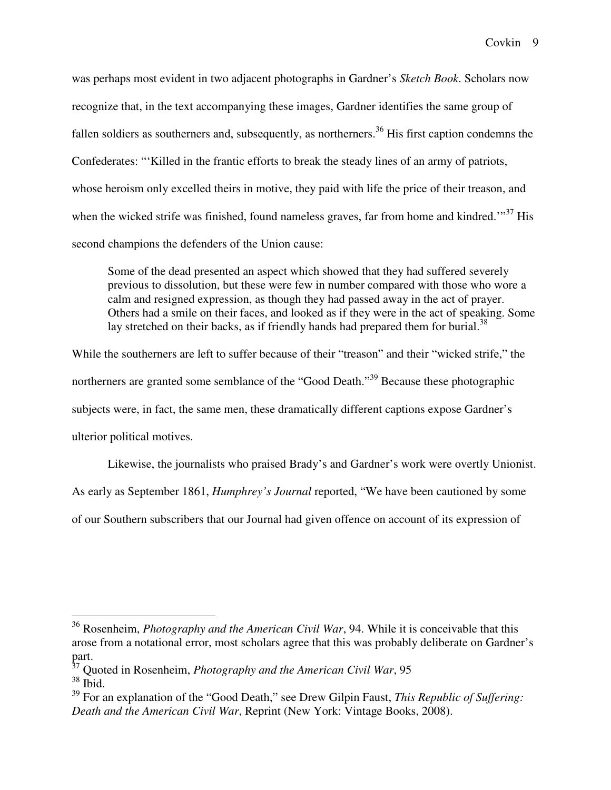was perhaps most evident in two adjacent photographs in Gardner's *Sketch Book*. Scholars now recognize that, in the text accompanying these images, Gardner identifies the same group of fallen soldiers as southerners and, subsequently, as northerners.<sup>36</sup> His first caption condemns the Confederates: "'Killed in the frantic efforts to break the steady lines of an army of patriots, whose heroism only excelled theirs in motive, they paid with life the price of their treason, and when the wicked strife was finished, found nameless graves, far from home and kindred."<sup>37</sup> His second champions the defenders of the Union cause:

Some of the dead presented an aspect which showed that they had suffered severely previous to dissolution, but these were few in number compared with those who wore a calm and resigned expression, as though they had passed away in the act of prayer. Others had a smile on their faces, and looked as if they were in the act of speaking. Some lay stretched on their backs, as if friendly hands had prepared them for burial.<sup>38</sup>

While the southerners are left to suffer because of their "treason" and their "wicked strife," the northerners are granted some semblance of the "Good Death."<sup>39</sup> Because these photographic subjects were, in fact, the same men, these dramatically different captions expose Gardner's ulterior political motives.

Likewise, the journalists who praised Brady's and Gardner's work were overtly Unionist. As early as September 1861, *Humphrey's Journal* reported, "We have been cautioned by some

of our Southern subscribers that our Journal had given offence on account of its expression of

<sup>36</sup> Rosenheim, *Photography and the American Civil War*, 94. While it is conceivable that this arose from a notational error, most scholars agree that this was probably deliberate on Gardner's part.

<sup>37</sup> Quoted in Rosenheim, *Photography and the American Civil War*, 95

 $38$ Ibid.

<sup>39</sup> For an explanation of the "Good Death," see Drew Gilpin Faust, *This Republic of Suffering: Death and the American Civil War*, Reprint (New York: Vintage Books, 2008).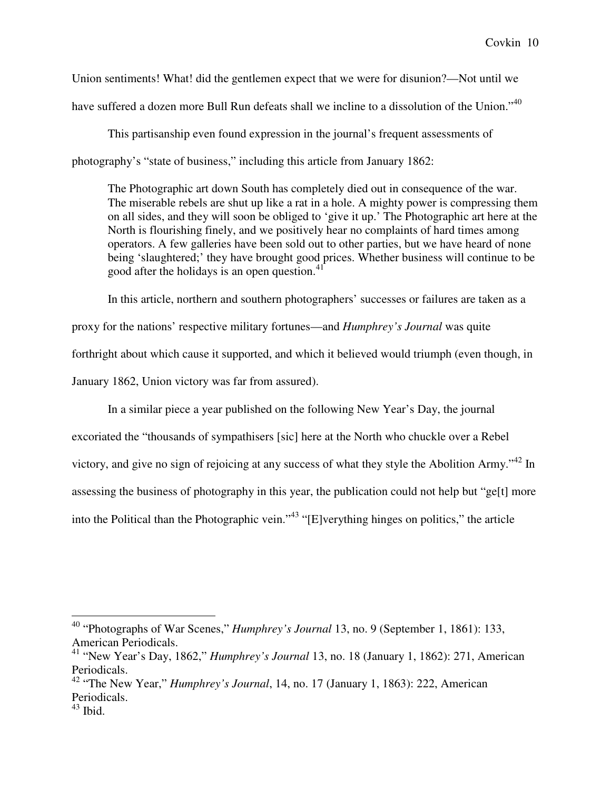Union sentiments! What! did the gentlemen expect that we were for disunion?—Not until we have suffered a dozen more Bull Run defeats shall we incline to a dissolution of the Union."<sup>40</sup>

This partisanship even found expression in the journal's frequent assessments of photography's "state of business," including this article from January 1862:

The Photographic art down South has completely died out in consequence of the war. The miserable rebels are shut up like a rat in a hole. A mighty power is compressing them on all sides, and they will soon be obliged to 'give it up.' The Photographic art here at the North is flourishing finely, and we positively hear no complaints of hard times among operators. A few galleries have been sold out to other parties, but we have heard of none being 'slaughtered;' they have brought good prices. Whether business will continue to be good after the holidays is an open question.<sup>41</sup>

In this article, northern and southern photographers' successes or failures are taken as a proxy for the nations' respective military fortunes—and *Humphrey's Journal* was quite forthright about which cause it supported, and which it believed would triumph (even though, in January 1862, Union victory was far from assured).

In a similar piece a year published on the following New Year's Day, the journal

excoriated the "thousands of sympathisers [sic] here at the North who chuckle over a Rebel victory, and give no sign of rejoicing at any success of what they style the Abolition Army."<sup>42</sup> In assessing the business of photography in this year, the publication could not help but "ge[t] more into the Political than the Photographic vein."<sup>43</sup> "[E]verything hinges on politics," the article

<sup>40</sup> "Photographs of War Scenes," *Humphrey's Journal* 13, no. 9 (September 1, 1861): 133, American Periodicals.

<sup>41</sup> "New Year's Day, 1862," *Humphrey's Journal* 13, no. 18 (January 1, 1862): 271, American Periodicals.

<sup>42</sup> "The New Year," *Humphrey's Journal*, 14, no. 17 (January 1, 1863): 222, American Periodicals.

 $43$  Ibid.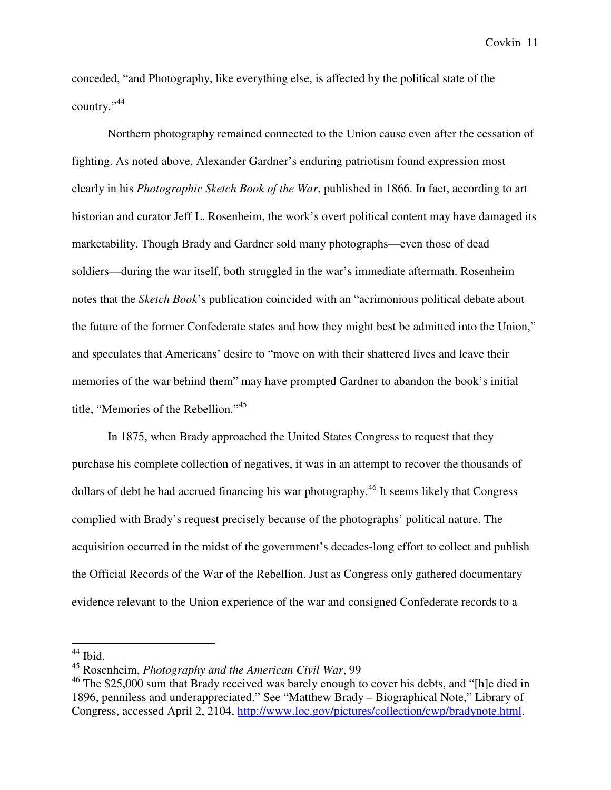conceded, "and Photography, like everything else, is affected by the political state of the country."<sup>44</sup>

Northern photography remained connected to the Union cause even after the cessation of fighting. As noted above, Alexander Gardner's enduring patriotism found expression most clearly in his *Photographic Sketch Book of the War*, published in 1866. In fact, according to art historian and curator Jeff L. Rosenheim, the work's overt political content may have damaged its marketability. Though Brady and Gardner sold many photographs—even those of dead soldiers—during the war itself, both struggled in the war's immediate aftermath. Rosenheim notes that the *Sketch Book*'s publication coincided with an "acrimonious political debate about the future of the former Confederate states and how they might best be admitted into the Union," and speculates that Americans' desire to "move on with their shattered lives and leave their memories of the war behind them" may have prompted Gardner to abandon the book's initial title, "Memories of the Rebellion."<sup>45</sup>

In 1875, when Brady approached the United States Congress to request that they purchase his complete collection of negatives, it was in an attempt to recover the thousands of dollars of debt he had accrued financing his war photography.<sup>46</sup> It seems likely that Congress complied with Brady's request precisely because of the photographs' political nature. The acquisition occurred in the midst of the government's decades-long effort to collect and publish the Official Records of the War of the Rebellion. Just as Congress only gathered documentary evidence relevant to the Union experience of the war and consigned Confederate records to a

<sup>-</sup> $44$  Ibid.

<sup>45</sup> Rosenheim, *Photography and the American Civil War*, 99

 $46$  The \$25,000 sum that Brady received was barely enough to cover his debts, and "[h]e died in 1896, penniless and underappreciated." See "Matthew Brady – Biographical Note," Library of Congress, accessed April 2, 2104, http://www.loc.gov/pictures/collection/cwp/bradynote.html.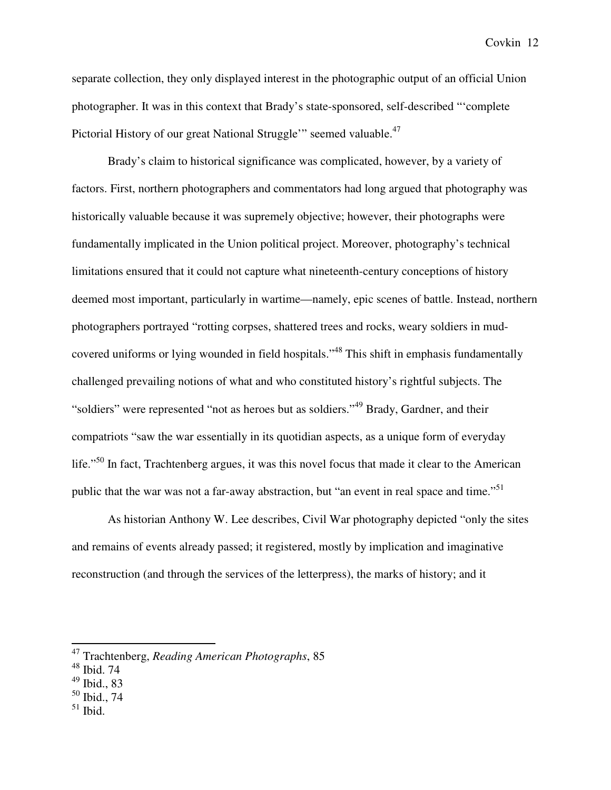separate collection, they only displayed interest in the photographic output of an official Union photographer. It was in this context that Brady's state-sponsored, self-described "'complete Pictorial History of our great National Struggle'" seemed valuable.<sup>47</sup>

Brady's claim to historical significance was complicated, however, by a variety of factors. First, northern photographers and commentators had long argued that photography was historically valuable because it was supremely objective; however, their photographs were fundamentally implicated in the Union political project. Moreover, photography's technical limitations ensured that it could not capture what nineteenth-century conceptions of history deemed most important, particularly in wartime—namely, epic scenes of battle. Instead, northern photographers portrayed "rotting corpses, shattered trees and rocks, weary soldiers in mudcovered uniforms or lying wounded in field hospitals."<sup>48</sup> This shift in emphasis fundamentally challenged prevailing notions of what and who constituted history's rightful subjects. The "soldiers" were represented "not as heroes but as soldiers."<sup>49</sup> Brady, Gardner, and their compatriots "saw the war essentially in its quotidian aspects, as a unique form of everyday life."<sup>50</sup> In fact, Trachtenberg argues, it was this novel focus that made it clear to the American public that the war was not a far-away abstraction, but "an event in real space and time."<sup>51</sup>

As historian Anthony W. Lee describes, Civil War photography depicted "only the sites and remains of events already passed; it registered, mostly by implication and imaginative reconstruction (and through the services of the letterpress), the marks of history; and it

- <sup>50</sup> Ibid., 74
- $51$  Ibid.

<sup>47</sup> Trachtenberg, *Reading American Photographs*, 85

<sup>48</sup> Ibid. 74

<sup>49</sup> Ibid., 83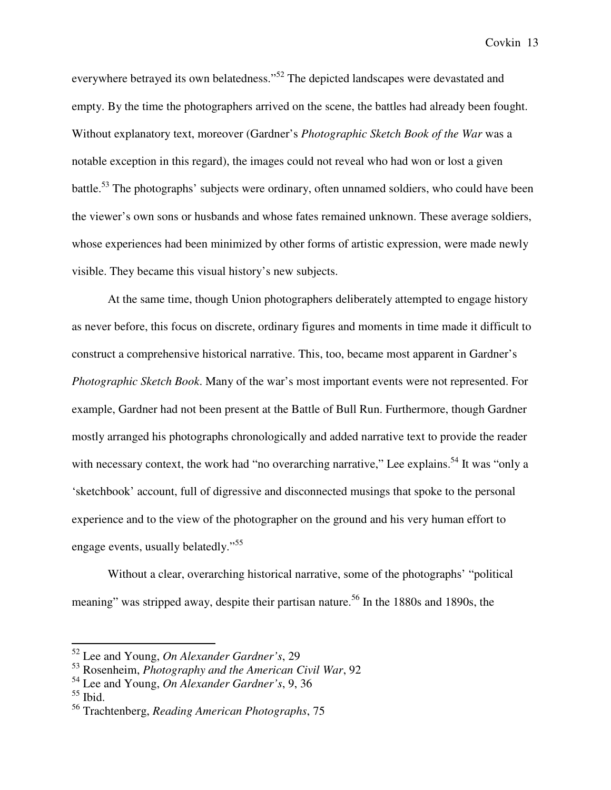everywhere betrayed its own belatedness."<sup>52</sup> The depicted landscapes were devastated and empty. By the time the photographers arrived on the scene, the battles had already been fought. Without explanatory text, moreover (Gardner's *Photographic Sketch Book of the War* was a notable exception in this regard), the images could not reveal who had won or lost a given battle.<sup>53</sup> The photographs' subjects were ordinary, often unnamed soldiers, who could have been the viewer's own sons or husbands and whose fates remained unknown. These average soldiers, whose experiences had been minimized by other forms of artistic expression, were made newly visible. They became this visual history's new subjects.

At the same time, though Union photographers deliberately attempted to engage history as never before, this focus on discrete, ordinary figures and moments in time made it difficult to construct a comprehensive historical narrative. This, too, became most apparent in Gardner's *Photographic Sketch Book*. Many of the war's most important events were not represented. For example, Gardner had not been present at the Battle of Bull Run. Furthermore, though Gardner mostly arranged his photographs chronologically and added narrative text to provide the reader with necessary context, the work had "no overarching narrative," Lee explains.<sup>54</sup> It was "only a 'sketchbook' account, full of digressive and disconnected musings that spoke to the personal experience and to the view of the photographer on the ground and his very human effort to engage events, usually belatedly."<sup>55</sup>

Without a clear, overarching historical narrative, some of the photographs' "political meaning" was stripped away, despite their partisan nature.<sup>56</sup> In the 1880s and 1890s, the

<sup>52</sup> Lee and Young, *On Alexander Gardner's*, 29

<sup>53</sup> Rosenheim, *Photography and the American Civil War*, 92

<sup>54</sup> Lee and Young, *On Alexander Gardner's*, 9, 36

 $55$  Ibid.

<sup>56</sup> Trachtenberg, *Reading American Photographs*, 75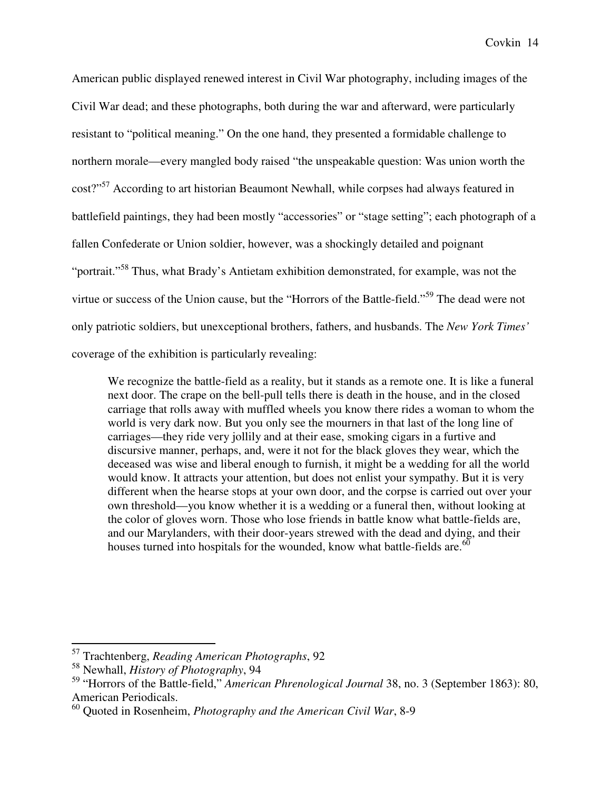American public displayed renewed interest in Civil War photography, including images of the Civil War dead; and these photographs, both during the war and afterward, were particularly resistant to "political meaning." On the one hand, they presented a formidable challenge to northern morale—every mangled body raised "the unspeakable question: Was union worth the cost?"<sup>57</sup> According to art historian Beaumont Newhall, while corpses had always featured in battlefield paintings, they had been mostly "accessories" or "stage setting"; each photograph of a fallen Confederate or Union soldier, however, was a shockingly detailed and poignant "portrait."<sup>58</sup> Thus, what Brady's Antietam exhibition demonstrated, for example, was not the virtue or success of the Union cause, but the "Horrors of the Battle-field."<sup>59</sup> The dead were not only patriotic soldiers, but unexceptional brothers, fathers, and husbands. The *New York Times'* coverage of the exhibition is particularly revealing:

We recognize the battle-field as a reality, but it stands as a remote one. It is like a funeral next door. The crape on the bell-pull tells there is death in the house, and in the closed carriage that rolls away with muffled wheels you know there rides a woman to whom the world is very dark now. But you only see the mourners in that last of the long line of carriages—they ride very jollily and at their ease, smoking cigars in a furtive and discursive manner, perhaps, and, were it not for the black gloves they wear, which the deceased was wise and liberal enough to furnish, it might be a wedding for all the world would know. It attracts your attention, but does not enlist your sympathy. But it is very different when the hearse stops at your own door, and the corpse is carried out over your own threshold—you know whether it is a wedding or a funeral then, without looking at the color of gloves worn. Those who lose friends in battle know what battle-fields are, and our Marylanders, with their door-years strewed with the dead and dying, and their houses turned into hospitals for the wounded, know what battle-fields are.  $60$ 

<sup>57</sup> Trachtenberg, *Reading American Photographs*, 92

<sup>58</sup> Newhall, *History of Photography*, 94

<sup>59</sup> "Horrors of the Battle-field," *American Phrenological Journal* 38, no. 3 (September 1863): 80, American Periodicals.

<sup>60</sup> Quoted in Rosenheim, *Photography and the American Civil War*, 8-9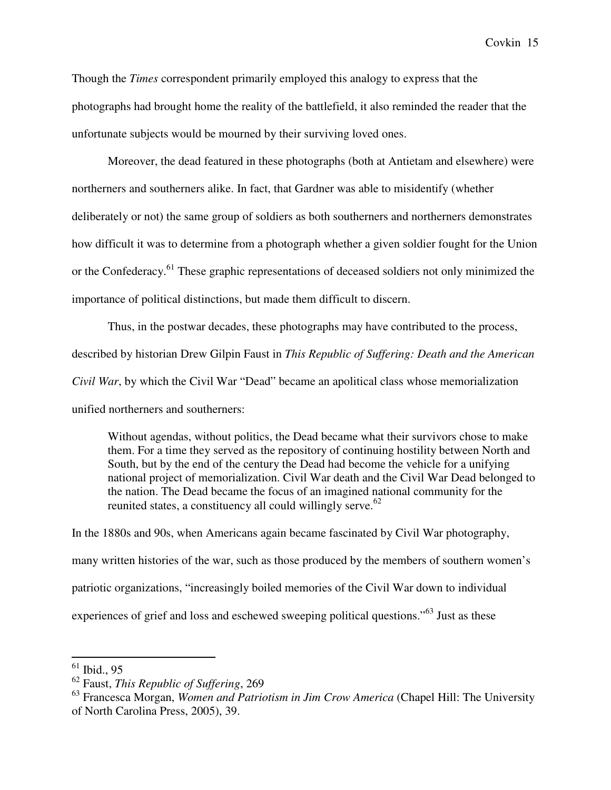Though the *Times* correspondent primarily employed this analogy to express that the photographs had brought home the reality of the battlefield, it also reminded the reader that the unfortunate subjects would be mourned by their surviving loved ones.

Moreover, the dead featured in these photographs (both at Antietam and elsewhere) were northerners and southerners alike. In fact, that Gardner was able to misidentify (whether deliberately or not) the same group of soldiers as both southerners and northerners demonstrates how difficult it was to determine from a photograph whether a given soldier fought for the Union or the Confederacy.<sup>61</sup> These graphic representations of deceased soldiers not only minimized the importance of political distinctions, but made them difficult to discern.

Thus, in the postwar decades, these photographs may have contributed to the process, described by historian Drew Gilpin Faust in *This Republic of Suffering: Death and the American Civil War*, by which the Civil War "Dead" became an apolitical class whose memorialization unified northerners and southerners:

Without agendas, without politics, the Dead became what their survivors chose to make them. For a time they served as the repository of continuing hostility between North and South, but by the end of the century the Dead had become the vehicle for a unifying national project of memorialization. Civil War death and the Civil War Dead belonged to the nation. The Dead became the focus of an imagined national community for the reunited states, a constituency all could willingly serve. $62$ 

In the 1880s and 90s, when Americans again became fascinated by Civil War photography, many written histories of the war, such as those produced by the members of southern women's patriotic organizations, "increasingly boiled memories of the Civil War down to individual experiences of grief and loss and eschewed sweeping political questions."<sup>63</sup> Just as these

 $61$  Ibid., 95

<sup>62</sup> Faust, *This Republic of Suffering*, 269

<sup>63</sup> Francesca Morgan, *Women and Patriotism in Jim Crow America* (Chapel Hill: The University of North Carolina Press, 2005), 39.